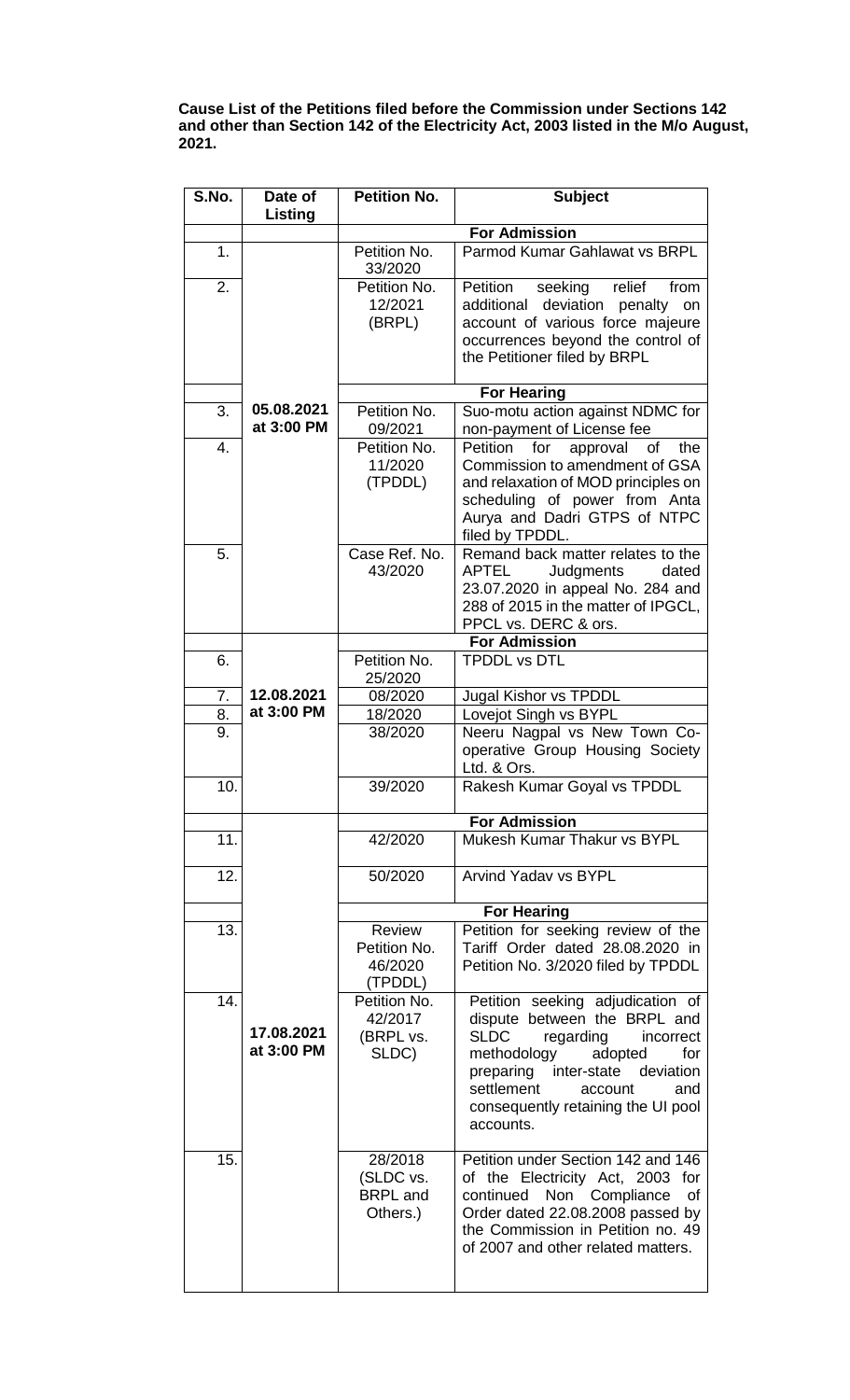**Cause List of the Petitions filed before the Commission under Sections 142 and other than Section 142 of the Electricity Act, 2003 listed in the M/o August, 2021.**

| S.No.    | Date of                  | <b>Petition No.</b>          | <b>Subject</b>                                                           |
|----------|--------------------------|------------------------------|--------------------------------------------------------------------------|
|          | Listing                  |                              | <b>For Admission</b>                                                     |
| 1.       |                          | Petition No.                 | Parmod Kumar Gahlawat vs BRPL                                            |
|          |                          | 33/2020                      |                                                                          |
| 2.       |                          | Petition No.                 | Petition<br>seeking<br>relief<br>from                                    |
|          |                          | 12/2021                      | additional<br>deviation<br>penalty<br>on                                 |
|          |                          | (BRPL)                       | account of various force majeure<br>occurrences beyond the control of    |
|          |                          |                              | the Petitioner filed by BRPL                                             |
|          |                          |                              |                                                                          |
|          |                          |                              | <b>For Hearing</b>                                                       |
| 3.       | 05.08.2021<br>at 3:00 PM | Petition No.                 | Suo-motu action against NDMC for                                         |
| 4.       |                          | 09/2021<br>Petition No.      | non-payment of License fee<br>Petition<br>the<br>for<br>approval<br>of   |
|          |                          | 11/2020                      | Commission to amendment of GSA                                           |
|          |                          | (TPDDL)                      | and relaxation of MOD principles on                                      |
|          |                          |                              | scheduling of power from Anta                                            |
|          |                          |                              | Aurya and Dadri GTPS of NTPC                                             |
| 5.       |                          | Case Ref. No.                | filed by TPDDL.<br>Remand back matter relates to the                     |
|          |                          | 43/2020                      | APTEL<br>Judgments<br>dated                                              |
|          |                          |                              | 23.07.2020 in appeal No. 284 and                                         |
|          |                          |                              | 288 of 2015 in the matter of IPGCL,                                      |
|          |                          |                              | PPCL vs. DERC & ors.<br><b>For Admission</b>                             |
| 6.       |                          | Petition No.                 | <b>TPDDL vs DTL</b>                                                      |
|          |                          | 25/2020                      |                                                                          |
| 7.       | 12.08.2021               | 08/2020                      | Jugal Kishor vs TPDDL                                                    |
| 8.<br>9. | at 3:00 PM               | 18/2020<br>38/2020           | Lovejot Singh vs BYPL<br>Neeru Nagpal vs New Town Co-                    |
|          |                          |                              | operative Group Housing Society                                          |
|          |                          |                              | Ltd. & Ors.                                                              |
| 10.      |                          | 39/2020                      | Rakesh Kumar Goyal vs TPDDL                                              |
|          |                          |                              | <b>For Admission</b>                                                     |
| 11.      |                          | 42/2020                      | Mukesh Kumar Thakur vs BYPL                                              |
|          |                          |                              |                                                                          |
| 12.      |                          | 50/2020                      | <b>Arvind Yadav vs BYPL</b>                                              |
|          |                          |                              |                                                                          |
| 13.      |                          | <b>Review</b>                | <b>For Hearing</b><br>Petition for seeking review of the                 |
|          |                          | Petition No.                 | Tariff Order dated 28.08.2020 in                                         |
|          |                          | 46/2020                      | Petition No. 3/2020 filed by TPDDL                                       |
|          |                          | (TPDDL)                      |                                                                          |
| 14.      |                          | Petition No.<br>42/2017      | Petition seeking adjudication of<br>dispute between the BRPL and         |
|          | 17.08.2021               | (BRPL vs.                    | <b>SLDC</b><br>regarding<br>incorrect                                    |
|          | at 3:00 PM               | SLDC)                        | methodology<br>adopted<br>for                                            |
|          |                          |                              | preparing inter-state deviation                                          |
|          |                          |                              | settlement<br>account<br>and<br>consequently retaining the UI pool       |
|          |                          |                              | accounts.                                                                |
|          |                          |                              |                                                                          |
| 15.      |                          | 28/2018                      | Petition under Section 142 and 146                                       |
|          |                          | (SLDC vs.<br><b>BRPL</b> and | of the Electricity Act, 2003 for<br>Non<br>continued<br>Compliance<br>οf |
|          |                          | Others.)                     | Order dated 22.08.2008 passed by                                         |
|          |                          |                              | the Commission in Petition no. 49                                        |
|          |                          |                              | of 2007 and other related matters.                                       |
|          |                          |                              |                                                                          |
|          |                          |                              |                                                                          |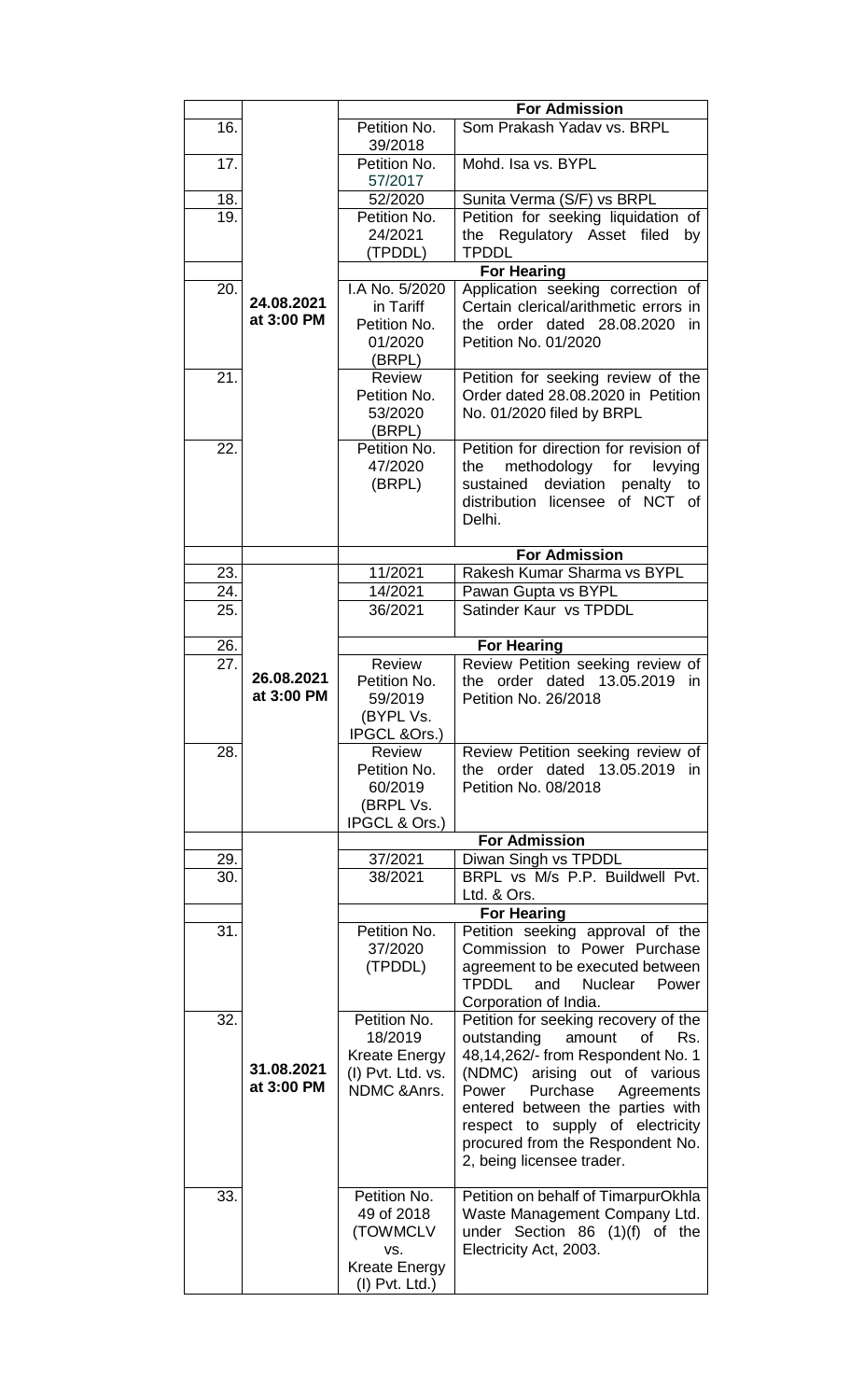|     |                          | <b>For Admission</b>                                                                      |                                                                                                                                                                                                                                                                                                                              |  |
|-----|--------------------------|-------------------------------------------------------------------------------------------|------------------------------------------------------------------------------------------------------------------------------------------------------------------------------------------------------------------------------------------------------------------------------------------------------------------------------|--|
| 16. |                          | Petition No.<br>39/2018                                                                   | Som Prakash Yadav vs. BRPL                                                                                                                                                                                                                                                                                                   |  |
| 17. |                          | Petition No.<br>57/2017                                                                   | Mohd. Isa vs. BYPL                                                                                                                                                                                                                                                                                                           |  |
| 18. |                          | 52/2020                                                                                   | Sunita Verma (S/F) vs BRPL                                                                                                                                                                                                                                                                                                   |  |
| 19. |                          | Petition No.<br>24/2021<br>(TPDDL)                                                        | Petition for seeking liquidation of<br>Regulatory Asset filed<br>the<br>by<br><b>TPDDL</b>                                                                                                                                                                                                                                   |  |
|     |                          |                                                                                           | <b>For Hearing</b>                                                                                                                                                                                                                                                                                                           |  |
| 20. | 24.08.2021<br>at 3:00 PM | I.A No. 5/2020<br>in Tariff<br>Petition No.<br>01/2020<br>(BRPL)                          | Application seeking correction of<br>Certain clerical/arithmetic errors in<br>the order dated 28.08.2020<br>in<br>Petition No. 01/2020                                                                                                                                                                                       |  |
| 21. |                          | Review<br>Petition No.<br>53/2020<br>(BRPL)                                               | Petition for seeking review of the<br>Order dated 28.08.2020 in Petition<br>No. 01/2020 filed by BRPL                                                                                                                                                                                                                        |  |
| 22. |                          | Petition No.<br>47/2020<br>(BRPL)                                                         | Petition for direction for revision of<br>the<br>methodology<br>for<br>levying<br>deviation<br>sustained<br>penalty<br>to<br>distribution licensee of NCT of<br>Delhi.                                                                                                                                                       |  |
|     |                          |                                                                                           | <b>For Admission</b>                                                                                                                                                                                                                                                                                                         |  |
| 23. |                          | 11/2021                                                                                   | Rakesh Kumar Sharma vs BYPL                                                                                                                                                                                                                                                                                                  |  |
| 24. |                          | 14/2021                                                                                   | Pawan Gupta vs BYPL                                                                                                                                                                                                                                                                                                          |  |
| 25. |                          | 36/2021                                                                                   | Satinder Kaur vs TPDDL                                                                                                                                                                                                                                                                                                       |  |
| 26. |                          | <b>Review</b>                                                                             | <b>For Hearing</b>                                                                                                                                                                                                                                                                                                           |  |
| 27. | 26.08.2021<br>at 3:00 PM | Petition No.<br>59/2019<br>(BYPL Vs.<br>IPGCL &Ors.)                                      | Review Petition seeking review of<br>order dated 13.05.2019<br>the<br>in<br>Petition No. 26/2018                                                                                                                                                                                                                             |  |
| 28. |                          | Review<br>Petition No.<br>60/2019<br>(BRPL Vs.<br>IPGCL & Ors.)                           | Review Petition seeking review of<br>the order dated 13.05.2019 in<br>Petition No. 08/2018                                                                                                                                                                                                                                   |  |
|     |                          |                                                                                           | <b>For Admission</b>                                                                                                                                                                                                                                                                                                         |  |
| 29. |                          | 37/2021                                                                                   | Diwan Singh vs TPDDL                                                                                                                                                                                                                                                                                                         |  |
| 30. |                          | 38/2021                                                                                   | BRPL vs M/s P.P. Buildwell Pvt.<br>Ltd. & Ors.                                                                                                                                                                                                                                                                               |  |
| 31. |                          | Petition No.<br>37/2020<br>(TPDDL)                                                        | <b>For Hearing</b><br>Petition seeking approval of the<br>Commission to Power Purchase<br>agreement to be executed between<br><b>TPDDL</b><br>and<br>Nuclear<br>Power<br>Corporation of India.                                                                                                                               |  |
| 32. | 31.08.2021<br>at 3:00 PM | Petition No.<br>18/2019<br><b>Kreate Energy</b><br>(I) Pvt. Ltd. vs.<br>NDMC & Anrs.      | Petition for seeking recovery of the<br>outstanding<br>amount<br>of<br>Rs.<br>48,14,262/- from Respondent No. 1<br>(NDMC) arising out of various<br>Purchase<br>Power<br>Agreements<br>entered between the parties with<br>respect to supply of electricity<br>procured from the Respondent No.<br>2, being licensee trader. |  |
| 33. |                          | Petition No.<br>49 of 2018<br>(TOWMCLV<br>VS.<br><b>Kreate Energy</b><br>$(I)$ Pvt. Ltd.) | Petition on behalf of TimarpurOkhla<br>Waste Management Company Ltd.<br>under Section 86 (1)(f) of the<br>Electricity Act, 2003.                                                                                                                                                                                             |  |